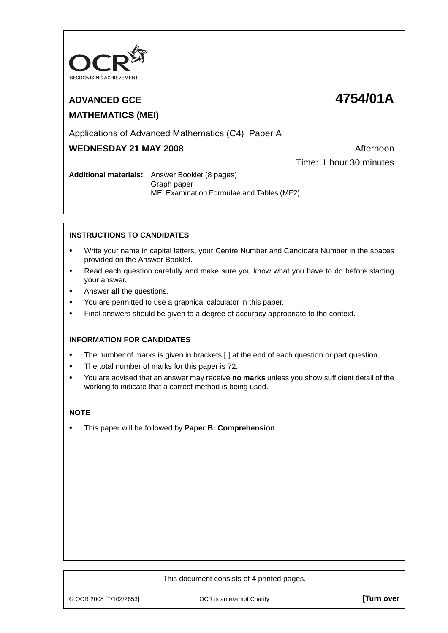

# **MATHEMATICS (MEI)**

# **ADVANCED GCE 4754/01A**

# Applications of Advanced Mathematics (C4) Paper A

# **WEDNESDAY 21 MAY 2008** Afternoon

Time: 1 hour 30 minutes

### **Additional materials:** Answer Booklet (8 pages) Graph paper MEI Examination Formulae and Tables (MF2)

# **INSTRUCTIONS TO CANDIDATES**

- **•** Write your name in capital letters, your Centre Number and Candidate Number in the spaces provided on the Answer Booklet.
- **•** Read each question carefully and make sure you know what you have to do before starting your answer.
- **•** Answer **all** the questions.
- **•** You are permitted to use a graphical calculator in this paper.
- **•** Final answers should be given to a degree of accuracy appropriate to the context.

## **INFORMATION FOR CANDIDATES**

- The number of marks is given in brackets [ ] at the end of each question or part question.
- **•** The total number of marks for this paper is 72.
- **•** You are advised that an answer may receive **no marks** unless you show sufficient detail of the working to indicate that a correct method is being used.

#### **NOTE**

**•** This paper will be followed by **Paper B: Comprehension**.

#### This document consists of **4** printed pages.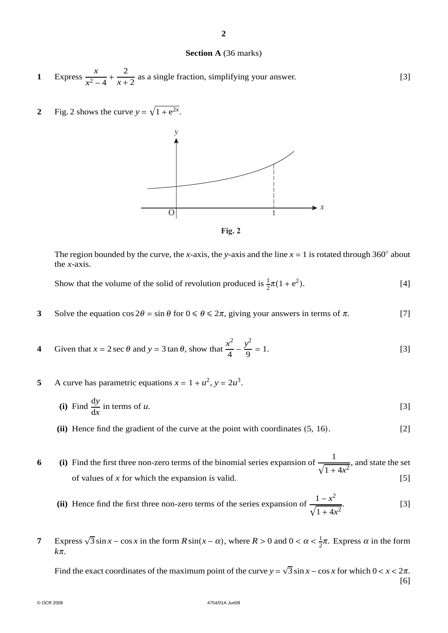#### **Section A** (36 marks)

**2**

- **1** Express  $\frac{x}{2}$  $\frac{x^2-4}{x^2-4}$  $\frac{2}{x+2}$  as a single fraction, simplifying your answer. [3]
- **2** Fig. 2 shows the curve  $y = \sqrt{1 + e^{2x}}$ .





The region bounded by the curve, the *x*-axis, the *y*-axis and the line  $x = 1$  is rotated through 360° about the *x*-axis.

Show that the volume of the solid of revolution produced is  $\frac{1}{2}\pi(1 + e^2)$  $[4]$ 

- **3** Solve the equation  $\cos 2\theta = \sin \theta$  for  $0 \le \theta \le 2\pi$ , giving your answers in terms of  $\pi$ . [7]
- **4** Given that  $x = 2 \sec \theta$  and  $y = 3 \tan \theta$ , show that  $\frac{x^2}{4} \frac{y^2}{9} = 1$ . [3]
- **5** A curve has parametric equations  $x = 1 + u^2$ ,  $y = 2u^3$ .
	- **(i)** Find  $\frac{dy}{dx}$  in terms of *u*. [3]
	- **(ii)** Hence find the gradient of the curve at the point with coordinates (5, 16). [2]

**6** (i) Find the first three non-zero terms of the binomial series expansion of  $\frac{1}{\sqrt{1+4x^2}}$ , and state the set of values of *x* for which the expansion is valid.  $[5]$ 

- (ii) Hence find the first three non-zero terms of the series expansion of  $\frac{1 x^2}{\sqrt{1 + 4x^2}}$ . [3]
- **7** Express  $\sqrt{3} \sin x \cos x$  in the form  $R \sin(x \alpha)$ , where  $R > 0$  and  $0 < \alpha < \frac{1}{2}\pi$ . Express  $\alpha$  in the form *k*π.

Find the exact coordinates of the maximum point of the curve  $y = \sqrt{3} \sin x - \cos x$  for which  $0 < x < 2\pi$ . [6]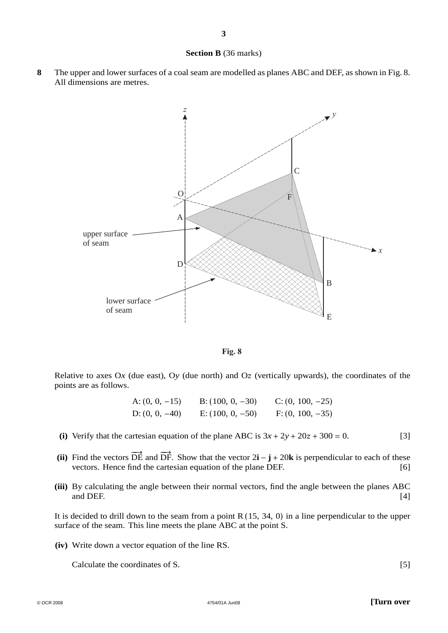#### **Section B** (36 marks)

**8** The upper and lower surfaces of a coal seam are modelled as planes ABC and DEF, as shown in Fig. 8. All dimensions are metres.



**Fig. 8**

Relative to axes  $Ox$  (due east),  $Oy$  (due north) and  $Oz$  (vertically upwards), the coordinates of the points are as follows.

> A:  $(0, 0, -15)$  B:  $(100, 0, -30)$  C:  $(0, 100, -25)$ D:  $(0, 0, -40)$  E:  $(100, 0, -50)$  F:  $(0, 100, -35)$

- (i) Verify that the cartesian equation of the plane ABC is  $3x + 2y + 20z + 300 = 0$ . [3]
- (ii) Find the vectors  $\overrightarrow{DE}$  and  $\overrightarrow{DF}$ . Show that the vector  $2\mathbf{i} \mathbf{j} + 20\mathbf{k}$  is perpendicular to each of these vectors. Hence find the cartesian equation of the plane DEF. [6]
- **(iii)** By calculating the angle between their normal vectors, find the angle between the planes ABC and DEF.  $[4]$

It is decided to drill down to the seam from a point R (15, 34, 0) in a line perpendicular to the upper surface of the seam. This line meets the plane ABC at the point S.

**(iv)** Write down a vector equation of the line RS.

Calculate the coordinates of S. [5]